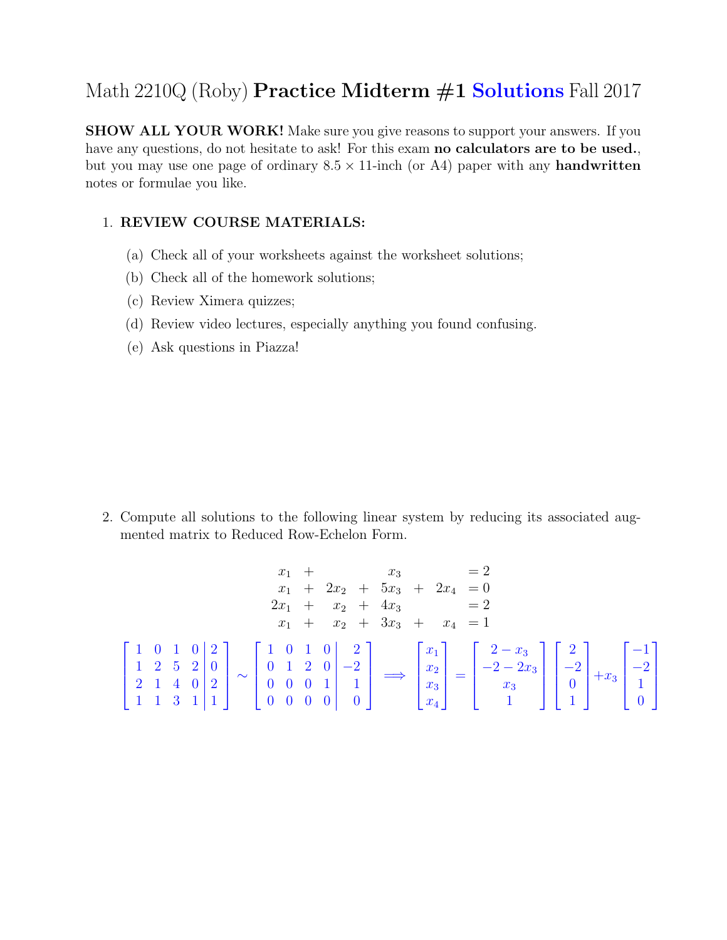## Math 2210Q (Roby) **Practice Midterm #1 Solutions** Fall 2017

SHOW ALL YOUR WORK! Make sure you give reasons to support your answers. If you have any questions, do not hesitate to ask! For this exam **no calculators are to be used.**, but you may use one page of ordinary  $8.5 \times 11$ -inch (or A4) paper with any **handwritten** notes or formulae you like.

## 1. REVIEW COURSE MATERIALS:

- (a) Check all of your worksheets against the worksheet solutions;
- (b) Check all of the homework solutions;
- (c) Review Ximera quizzes;
- (d) Review video lectures, especially anything you found confusing.
- (e) Ask questions in Piazza!

2. Compute all solutions to the following linear system by reducing its associated augmented matrix to Reduced Row-Echelon Form.

$$
x_1 + x_3 = 2
$$
  
\n
$$
x_1 + 2x_2 + 5x_3 + 2x_4 = 0
$$
  
\n
$$
2x_1 + x_2 + 4x_3 = 2
$$
  
\n
$$
x_1 + x_2 + 3x_3 + x_4 = 1
$$
  
\n
$$
\begin{bmatrix} 1 & 0 & 1 & 0 & 0 & 0 \\ 1 & 2 & 5 & 2 & 0 & 0 \\ 1 & 1 & 3 & 1 & 1 & 1 \end{bmatrix} \sim \begin{bmatrix} 1 & 0 & 1 & 0 & 0 & 2 \\ 0 & 1 & 2 & 0 & -2 \\ 0 & 0 & 0 & 1 & 1 \\ 0 & 0 & 0 & 0 & 0 \end{bmatrix} \longrightarrow \begin{bmatrix} x_1 \\ x_2 \\ x_3 \\ x_4 \end{bmatrix} = \begin{bmatrix} 2 - x_3 \\ -2 - 2x_3 \\ x_3 \\ 1 \end{bmatrix} \begin{bmatrix} 2 \\ -2 \\ 0 \\ 1 \end{bmatrix} + x_3 \begin{bmatrix} -1 \\ -2 \\ 1 \\ 0 \end{bmatrix}
$$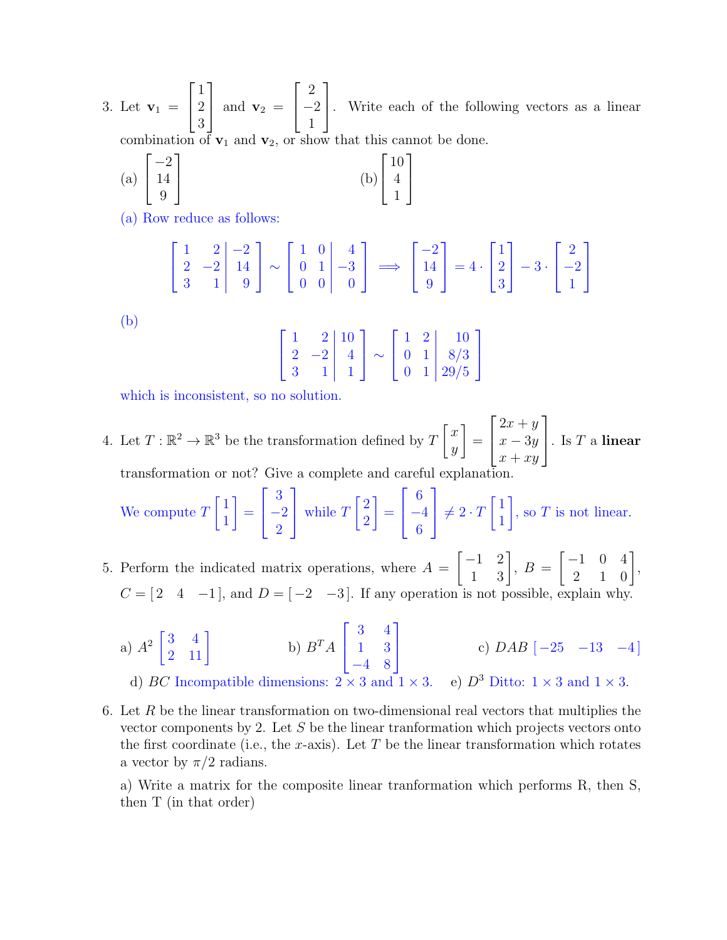3. Let  $v_1 =$  $\lceil$  $\overline{1}$ 1 2 3 1 | and  $\mathbf{v}_2$  =  $\sqrt{ }$  $\overline{1}$ 2 −2 1 1 . Write each of the following vectors as a linear combination of  $v_1$  and  $v_2$ , or show that this cannot be done.

(a) 
$$
\begin{bmatrix} -2 \\ 14 \\ 9 \end{bmatrix}
$$
 (b)  $\begin{bmatrix} 10 \\ 4 \\ 1 \end{bmatrix}$ 

(a) Row reduce as follows:

(b)

$$
\begin{bmatrix} 1 & 2 & -2 \ 2 & -2 & 14 \ 3 & 1 & 9 \end{bmatrix} \sim \begin{bmatrix} 1 & 0 & 4 \ 0 & 1 & -3 \ 0 & 0 & 0 \end{bmatrix} \implies \begin{bmatrix} -2 \ 14 \ 9 \end{bmatrix} = 4 \cdot \begin{bmatrix} 1 \ 2 \ 3 \end{bmatrix} - 3 \cdot \begin{bmatrix} 2 \ -2 \ 1 \end{bmatrix}
$$

$$
\begin{bmatrix} 1 & 2 & 10 \\ 2 & -2 & 4 \\ 3 & 1 & 1 \end{bmatrix} \sim \begin{bmatrix} 1 & 2 & 10 \\ 0 & 1 & 8/3 \\ 0 & 1 & 29/5 \end{bmatrix}
$$

which is inconsistent, so no solution.

4. Let  $T: \mathbb{R}^2 \to \mathbb{R}^3$  be the transformation defined by  $T\begin{bmatrix} x \\ y \end{bmatrix}$  $\hat{y}$ 1 =  $\sqrt{ }$  $\overline{1}$  $2x + y$  $x - 3y$  $x + xy$ 1  $\Big\vert \cdot \text{ Is } T \text{ a linear}$ transformation or not? Give a complete and careful explanation.

We compute  $T$  $\lceil 1 \rceil$ 1 1 =  $\lceil$  $\mathbf{I}$ 3 −2 2 1 while  $T$  $\lceil 2 \rceil$ 2 1 =  $\sqrt{ }$  $\mathbf{I}$ 6 −4 6 1  $\neq 2 \cdot T$  $\lceil 1 \rceil$ 1 1 , so  $T$  is not linear.

- 5. Perform the indicated matrix operations, where  $A =$  $\begin{bmatrix} -1 & 2 \\ 1 & 3 \end{bmatrix}$ ,  $B =$  $\begin{bmatrix} -1 & 0 & 4 \\ 2 & 1 & 0 \end{bmatrix}$  $C = \begin{bmatrix} 2 & 4 & -1 \end{bmatrix}$ , and  $D = \begin{bmatrix} -2 & -3 \end{bmatrix}$ . If any operation is not possible, explain why.
	- a)  $A^2 \begin{bmatrix} 3 & 4 \\ 2 & 11 \end{bmatrix}$ b)  $B^T A$  $\lceil$  $\mathbf{I}$ 3 4 1 3 −4 8 1 c)  $DAB \begin{bmatrix} -25 & -13 & -4 \end{bmatrix}$ d) BC Incompatible dimensions:  $2 \times 3$  and  $1 \times 3$ . e)  $D^3$  Ditto:  $1 \times 3$  and  $1 \times 3$ .
- 6. Let R be the linear transformation on two-dimensional real vectors that multiplies the vector components by 2. Let S be the linear tranformation which projects vectors onto the first coordinate (i.e., the x-axis). Let  $T$  be the linear transformation which rotates a vector by  $\pi/2$  radians.

a) Write a matrix for the composite linear tranformation which performs R, then S, then T (in that order)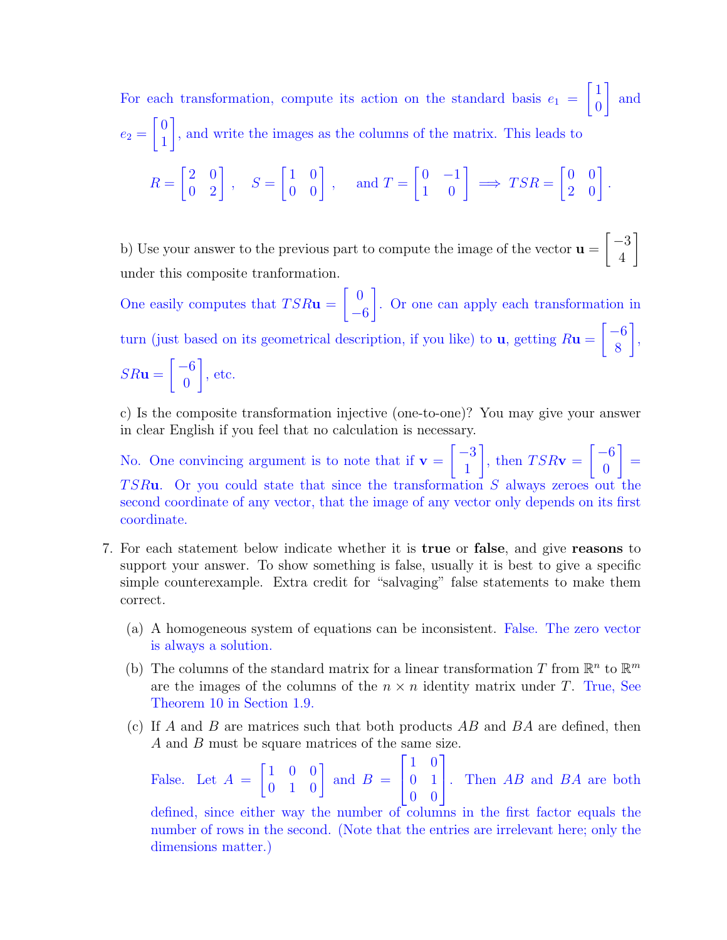For each transformation, compute its action on the standard basis  $e_1$  =  $\lceil 1 \rceil$  $\boldsymbol{0}$ 1 and  $e_2 =$  $\sqrt{0}$ 1 1 , and write the images as the columns of the matrix. This leads to

$$
R = \begin{bmatrix} 2 & 0 \\ 0 & 2 \end{bmatrix}, \quad S = \begin{bmatrix} 1 & 0 \\ 0 & 0 \end{bmatrix}, \quad \text{ and } T = \begin{bmatrix} 0 & -1 \\ 1 & 0 \end{bmatrix} \implies TSR = \begin{bmatrix} 0 & 0 \\ 2 & 0 \end{bmatrix}.
$$

b) Use your answer to the previous part to compute the image of the vector  $\mathbf{u} =$  $\lceil -3 \rceil$ 4 1 under this composite tranformation.

One easily computes that  $TSR**u**$  =  $\begin{bmatrix} 0 \end{bmatrix}$ −6 1 . Or one can apply each transformation in turn (just based on its geometrical description, if you like) to  $\mathbf{u}$ , getting  $R\mathbf{u} =$  $\lceil -6 \rceil$ 8 1 ,  $SR$ **u** =  $\lceil -6 \rceil$  $\overline{0}$ 1 , etc.

c) Is the composite transformation injective (one-to-one)? You may give your answer in clear English if you feel that no calculation is necessary.

No. One convincing argument is to note that if  $v =$  $\lceil -3 \rceil$ 1 1 , then  $TSR**v** =$  $\lceil -6 \rceil$  $\boldsymbol{0}$ 1 =  $TSRu$ . Or you could state that since the transformation S always zeroes out the second coordinate of any vector, that the image of any vector only depends on its first coordinate.

- 7. For each statement below indicate whether it is true or false, and give reasons to support your answer. To show something is false, usually it is best to give a specific simple counterexample. Extra credit for "salvaging" false statements to make them correct.
	- (a) A homogeneous system of equations can be inconsistent. False. The zero vector is always a solution.
	- (b) The columns of the standard matrix for a linear transformation T from  $\mathbb{R}^n$  to  $\mathbb{R}^m$ are the images of the columns of the  $n \times n$  identity matrix under T. True, See Theorem 10 in Section 1.9.
	- (c) If A and B are matrices such that both products  $AB$  and  $BA$  are defined, then A and B must be square matrices of the same size.

False. Let  $A =$  $\begin{bmatrix} 1 & 0 & 0 \\ 0 & 1 & 0 \end{bmatrix}$  and  $B =$  $\lceil$  $\mathbf{I}$ 1 0 0 1 0 0 1  $\left| \cdot \right|$ . Then *AB* and *BA* are both

defined, since either way the number of columns in the first factor equals the number of rows in the second. (Note that the entries are irrelevant here; only the dimensions matter.)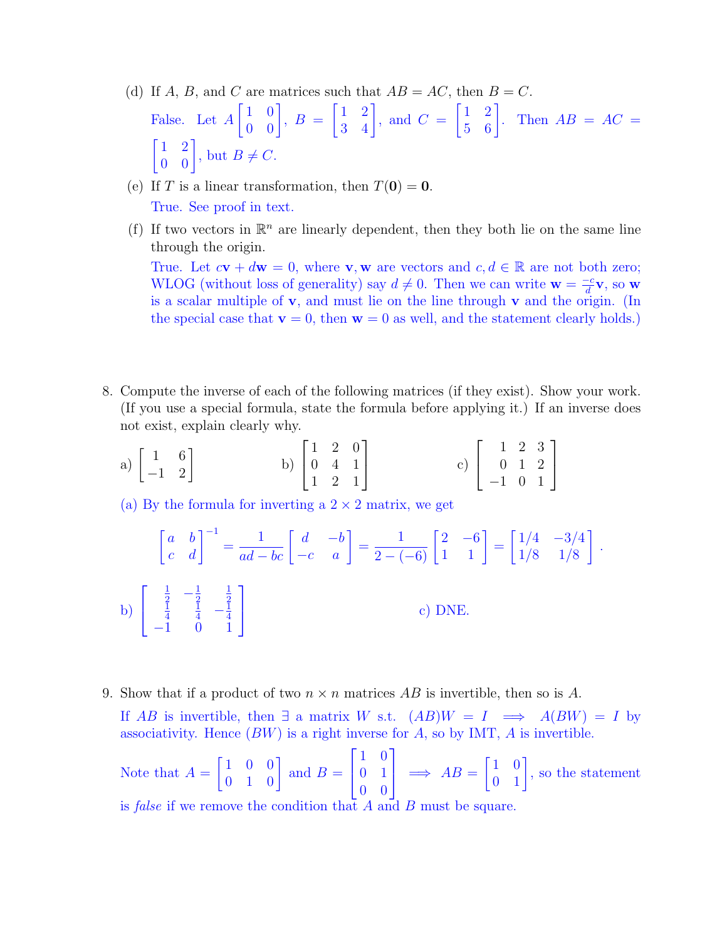- (d) If A, B, and C are matrices such that  $AB = AC$ , then  $B = C$ . False. Let A  $\begin{bmatrix} 1 & 0 \\ 0 & 0 \end{bmatrix}$ ,  $B =$  $\begin{bmatrix} 1 & 2 \\ 3 & 4 \end{bmatrix}$ , and  $C =$  $\begin{bmatrix} 1 & 2 \\ 5 & 6 \end{bmatrix}$ . Then  $AB = AC =$  $\begin{bmatrix} 1 & 2 \\ 0 & 0 \end{bmatrix}$ , but  $B \neq C$ .
- (e) If T is a linear transformation, then  $T(\mathbf{0}) = \mathbf{0}$ . True. See proof in text.
- (f) If two vectors in  $\mathbb{R}^n$  are linearly dependent, then they both lie on the same line through the origin.

True. Let  $c\mathbf{v} + d\mathbf{w} = 0$ , where **v**, **w** are vectors and  $c, d \in \mathbb{R}$  are not both zero; WLOG (without loss of generality) say  $d \neq 0$ . Then we can write  $\mathbf{w} = \frac{-c}{d}$  $\frac{-c}{d}$ **v**, so **w** is a scalar multiple of v, and must lie on the line through v and the origin. (In the special case that  $\mathbf{v} = 0$ , then  $\mathbf{w} = 0$  as well, and the statement clearly holds.)

- 8. Compute the inverse of each of the following matrices (if they exist). Show your work. (If you use a special formula, state the formula before applying it.) If an inverse does not exist, explain clearly why.
	- a)  $\begin{bmatrix} 1 & 6 \\ -1 & 2 \end{bmatrix}$ b)  $\sqrt{ }$  $\overline{1}$ 1 2 0 0 4 1 1 2 1 1 c)  $\lceil$  $\overline{1}$ 1 2 3 0 1 2 −1 0 1 1  $\overline{a}$

(a) By the formula for inverting a  $2 \times 2$  matrix, we get

$$
\begin{bmatrix} a & b \\ c & d \end{bmatrix}^{-1} = \frac{1}{ad - bc} \begin{bmatrix} d & -b \\ -c & a \end{bmatrix} = \frac{1}{2 - (-6)} \begin{bmatrix} 2 & -6 \\ 1 & 1 \end{bmatrix} = \begin{bmatrix} 1/4 & -3/4 \\ 1/8 & 1/8 \end{bmatrix}.
$$
  
b) 
$$
\begin{bmatrix} \frac{1}{2} & -\frac{1}{2} & \frac{1}{2} \\ \frac{1}{4} & \frac{1}{4} & -\frac{1}{4} \\ -1 & 0 & 1 \end{bmatrix}
$$
  
c) DNE.

9. Show that if a product of two  $n \times n$  matrices AB is invertible, then so is A.

If AB is invertible, then  $\exists$  a matrix W s.t.  $(AB)W = I \implies A(BW) = I$  by associativity. Hence  $(BW)$  is a right inverse for A, so by IMT, A is invertible.

Note that  $A =$  $\begin{bmatrix} 1 & 0 & 0 \\ 0 & 1 & 0 \end{bmatrix}$  and  $B =$  $\sqrt{ }$  $\mathbf{I}$ 1 0 0 1 0 0 1  $\Rightarrow AB =$  $\begin{bmatrix} 1 & 0 \\ 0 & 1 \end{bmatrix}$ , so the statement is *false* if we remove the condition that  $A$  and  $B$  must be square.